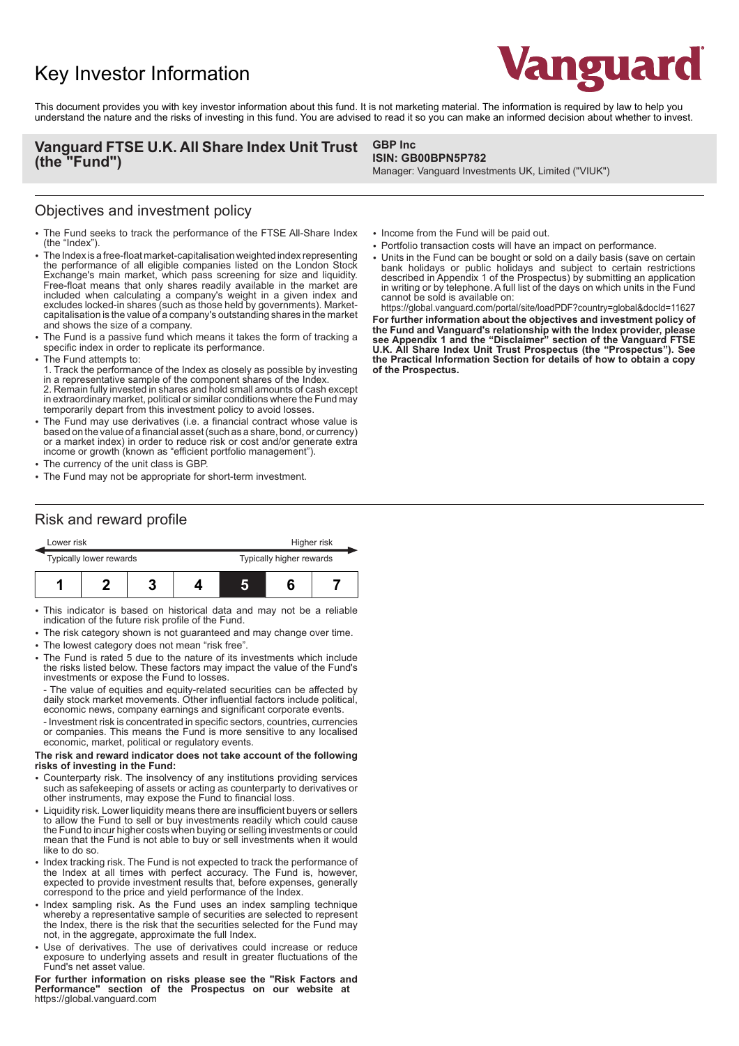# Key Investor Information



This document provides you with key investor information about this fund. It is not marketing material. The information is required by law to help you understand the nature and the risks of investing in this fund. You are advised to read it so you can make an informed decision about whether to invest.

### **Vanguard FTSE U.K. All Share Index Unit Trust (the "Fund")**

#### **GBP Inc ISIN: GB00BPN5P782**

Manager: Vanguard Investments UK, Limited ("VIUK")

## Objectives and investment policy

- The Fund seeks to track the performance of the FTSE All-Share Index (the "Index").
- 2 The Index is a free-float market-capitalisation weighted index representing the performance of all eligible companies listed on the London Stock Exchange's main market, which pass screening for size and liquidity. Free-float means that only shares readily available in the market are included when calculating a company's weight in a given index and excludes locked-in shares (such as those held by governments). Marketcapitalisation is the value of a company's outstanding shares in the market and shows the size of a company.
- The Fund is a passive fund which means it takes the form of tracking a specific index in order to replicate its performance.
- The Fund attempts to:
- 1. Track the performance of the Index as closely as possible by investing in a representative sample of the component shares of the Index. 2. Remain fully invested in shares and hold small amounts of cash except in extraordinary market, political or similar conditions where the Fund may temporarily depart from this investment policy to avoid losses.
- The Fund may use derivatives (i.e. a financial contract whose value is based on the value of a financial asset (such as a share, bond, or currency) or a market index) in order to reduce risk or cost and/or generate extra income or growth (known as "efficient portfolio management").
- The currency of the unit class is GBP.
- The Fund may not be appropriate for short-term investment.

### Risk and reward profile

|                         | Lower risk |  |  |                          | Higher risk |  |  |
|-------------------------|------------|--|--|--------------------------|-------------|--|--|
| Typically lower rewards |            |  |  | Typically higher rewards |             |  |  |
|                         |            |  |  | L                        |             |  |  |

- This indicator is based on historical data and may not be a reliable indication of the future risk profile of the Fund.
- The risk category shown is not guaranteed and may change over time.
- The lowest category does not mean "risk free".
- The Fund is rated 5 due to the nature of its investments which include the risks listed below. These factors may impact the value of the Fund's investments or expose the Fund to losses.
- The value of equities and equity-related securities can be affected by daily stock market movements. Other influential factors include political, economic news, company earnings and significant corporate events.
- Investment risk is concentrated in specific sectors, countries, currencies or companies. This means the Fund is more sensitive to any localised economic, market, political or regulatory events.

#### **The risk and reward indicator does not take account of the following risks of investing in the Fund:**

- 2 Counterparty risk. The insolvency of any institutions providing services such as safekeeping of assets or acting as counterparty to derivatives or other instruments, may expose the Fund to financial loss.
- Liquidity risk. Lower liquidity means there are insufficient buyers or sellers to allow the Fund to sell or buy investments readily which could cause the Fund to incur higher costs when buying or selling investments or could mean that the Fund is not able to buy or sell investments when it would like to do so.
- Index tracking risk. The Fund is not expected to track the performance of the Index at all times with perfect accuracy. The Fund is, however, expected to provide investment results that, before expenses, generally correspond to the price and yield performance of the Index.
- Index sampling risk. As the Fund uses an index sampling technique whereby a representative sample of securities are selected to represent the Index, there is the risk that the securities selected for the Fund may not, in the aggregate, approximate the full Index.
- Use of derivatives. The use of derivatives could increase or reduce exposure to underlying assets and result in greater fluctuations of the Fund's net asset value.

**For further information on risks please see the "Risk Factors and Performance" section of the Prospectus on our website at**  https://global.vanguard.com

- Income from the Fund will be paid out.
- Portfolio transaction costs will have an impact on performance.
- Units in the Fund can be bought or sold on a daily basis (save on certain bank holidays or public holidays and subject to certain restrictions described in Appendix 1 of the Prospectus) by submitting an application in writing or by telephone. A full list of the days on which units in the Fund cannot be sold is available on:

https://global.vanguard.com/portal/site/loadPDF?country=global&docId=11627 **For further information about the objectives and investment policy of the Fund and Vanguard's relationship with the Index provider, please see Appendix 1 and the "Disclaimer" section of the Vanguard FTSE U.K. All Share Index Unit Trust Prospectus (the "Prospectus"). See the Practical Information Section for details of how to obtain a copy of the Prospectus.**